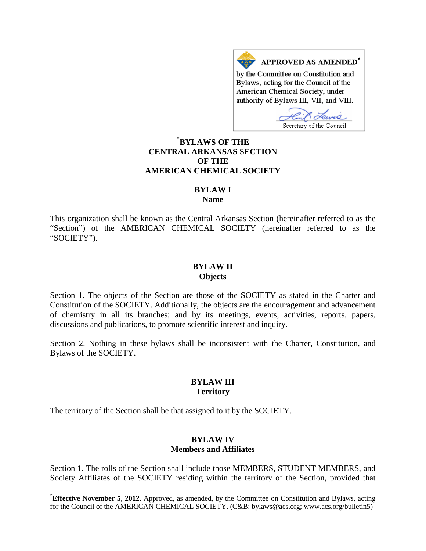APPROVED AS AMENDED\* by the Committee on Constitution and Bylaws, acting for the Council of the American Chemical Society, under authority of Bylaws III, VII, and VIII.

Secretary of the Council

# **[\\*](#page-0-0) BYLAWS OF THE CENTRAL ARKANSAS SECTION OF THE AMERICAN CHEMICAL SOCIETY**

## **BYLAW I**

**Name**

This organization shall be known as the Central Arkansas Section (hereinafter referred to as the "Section") of the AMERICAN CHEMICAL SOCIETY (hereinafter referred to as the "SOCIETY").

#### **BYLAW II Objects**

Section 1. The objects of the Section are those of the SOCIETY as stated in the Charter and Constitution of the SOCIETY. Additionally, the objects are the encouragement and advancement of chemistry in all its branches; and by its meetings, events, activities, reports, papers, discussions and publications, to promote scientific interest and inquiry.

Section 2. Nothing in these bylaws shall be inconsistent with the Charter, Constitution, and Bylaws of the SOCIETY.

## **BYLAW III Territory**

The territory of the Section shall be that assigned to it by the SOCIETY.

## **BYLAW IV Members and Affiliates**

Section 1. The rolls of the Section shall include those MEMBERS, STUDENT MEMBERS, and Society Affiliates of the SOCIETY residing within the territory of the Section, provided that

<span id="page-0-0"></span> <sup>\*</sup> **Effective November 5, 2012.** Approved, as amended, by the Committee on Constitution and Bylaws, acting for the Council of the AMERICAN CHEMICAL SOCIETY. (C&B: bylaws@acs.org; www.acs.org/bulletin5)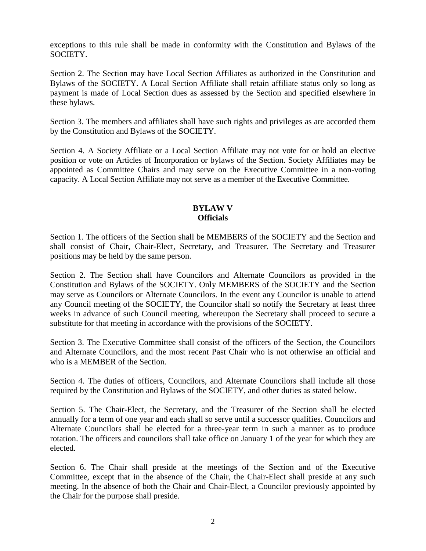exceptions to this rule shall be made in conformity with the Constitution and Bylaws of the SOCIETY.

Section 2. The Section may have Local Section Affiliates as authorized in the Constitution and Bylaws of the SOCIETY. A Local Section Affiliate shall retain affiliate status only so long as payment is made of Local Section dues as assessed by the Section and specified elsewhere in these bylaws.

Section 3. The members and affiliates shall have such rights and privileges as are accorded them by the Constitution and Bylaws of the SOCIETY.

Section 4. A Society Affiliate or a Local Section Affiliate may not vote for or hold an elective position or vote on Articles of Incorporation or bylaws of the Section. Society Affiliates may be appointed as Committee Chairs and may serve on the Executive Committee in a non-voting capacity. A Local Section Affiliate may not serve as a member of the Executive Committee.

# **BYLAW V Officials**

Section 1. The officers of the Section shall be MEMBERS of the SOCIETY and the Section and shall consist of Chair, Chair-Elect, Secretary, and Treasurer. The Secretary and Treasurer positions may be held by the same person.

Section 2. The Section shall have Councilors and Alternate Councilors as provided in the Constitution and Bylaws of the SOCIETY. Only MEMBERS of the SOCIETY and the Section may serve as Councilors or Alternate Councilors. In the event any Councilor is unable to attend any Council meeting of the SOCIETY, the Councilor shall so notify the Secretary at least three weeks in advance of such Council meeting, whereupon the Secretary shall proceed to secure a substitute for that meeting in accordance with the provisions of the SOCIETY.

Section 3. The Executive Committee shall consist of the officers of the Section, the Councilors and Alternate Councilors, and the most recent Past Chair who is not otherwise an official and who is a MEMBER of the Section.

Section 4. The duties of officers, Councilors, and Alternate Councilors shall include all those required by the Constitution and Bylaws of the SOCIETY, and other duties as stated below.

Section 5. The Chair-Elect, the Secretary, and the Treasurer of the Section shall be elected annually for a term of one year and each shall so serve until a successor qualifies. Councilors and Alternate Councilors shall be elected for a three-year term in such a manner as to produce rotation. The officers and councilors shall take office on January 1 of the year for which they are elected.

Section 6. The Chair shall preside at the meetings of the Section and of the Executive Committee, except that in the absence of the Chair, the Chair-Elect shall preside at any such meeting. In the absence of both the Chair and Chair-Elect, a Councilor previously appointed by the Chair for the purpose shall preside.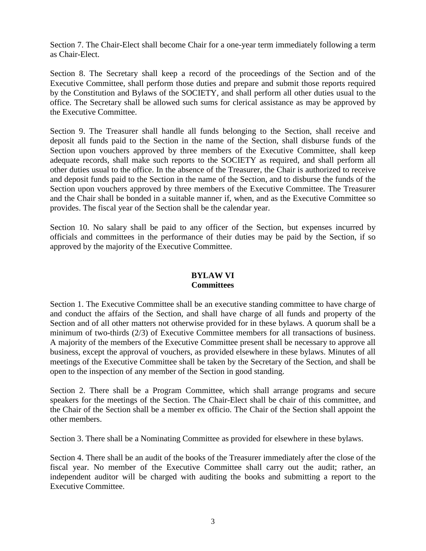Section 7. The Chair-Elect shall become Chair for a one-year term immediately following a term as Chair-Elect.

Section 8. The Secretary shall keep a record of the proceedings of the Section and of the Executive Committee, shall perform those duties and prepare and submit those reports required by the Constitution and Bylaws of the SOCIETY, and shall perform all other duties usual to the office. The Secretary shall be allowed such sums for clerical assistance as may be approved by the Executive Committee.

Section 9. The Treasurer shall handle all funds belonging to the Section, shall receive and deposit all funds paid to the Section in the name of the Section, shall disburse funds of the Section upon vouchers approved by three members of the Executive Committee, shall keep adequate records, shall make such reports to the SOCIETY as required, and shall perform all other duties usual to the office. In the absence of the Treasurer, the Chair is authorized to receive and deposit funds paid to the Section in the name of the Section, and to disburse the funds of the Section upon vouchers approved by three members of the Executive Committee. The Treasurer and the Chair shall be bonded in a suitable manner if, when, and as the Executive Committee so provides. The fiscal year of the Section shall be the calendar year.

Section 10. No salary shall be paid to any officer of the Section, but expenses incurred by officials and committees in the performance of their duties may be paid by the Section, if so approved by the majority of the Executive Committee.

#### **BYLAW VI Committees**

Section 1. The Executive Committee shall be an executive standing committee to have charge of and conduct the affairs of the Section, and shall have charge of all funds and property of the Section and of all other matters not otherwise provided for in these bylaws. A quorum shall be a minimum of two-thirds (2/3) of Executive Committee members for all transactions of business. A majority of the members of the Executive Committee present shall be necessary to approve all business, except the approval of vouchers, as provided elsewhere in these bylaws. Minutes of all meetings of the Executive Committee shall be taken by the Secretary of the Section, and shall be open to the inspection of any member of the Section in good standing.

Section 2. There shall be a Program Committee, which shall arrange programs and secure speakers for the meetings of the Section. The Chair-Elect shall be chair of this committee, and the Chair of the Section shall be a member ex officio. The Chair of the Section shall appoint the other members.

Section 3. There shall be a Nominating Committee as provided for elsewhere in these bylaws.

Section 4. There shall be an audit of the books of the Treasurer immediately after the close of the fiscal year. No member of the Executive Committee shall carry out the audit; rather, an independent auditor will be charged with auditing the books and submitting a report to the Executive Committee.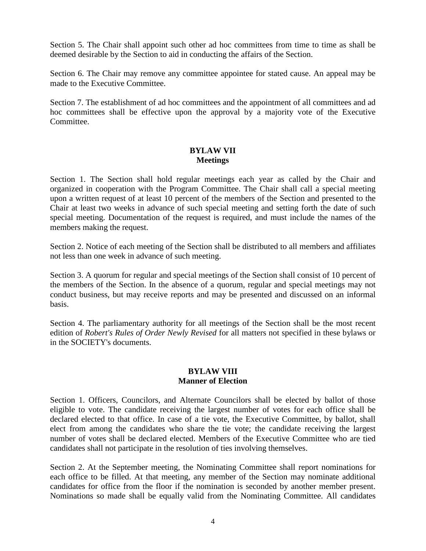Section 5. The Chair shall appoint such other ad hoc committees from time to time as shall be deemed desirable by the Section to aid in conducting the affairs of the Section.

Section 6. The Chair may remove any committee appointee for stated cause. An appeal may be made to the Executive Committee.

Section 7. The establishment of ad hoc committees and the appointment of all committees and ad hoc committees shall be effective upon the approval by a majority vote of the Executive Committee.

## **BYLAW VII Meetings**

Section 1. The Section shall hold regular meetings each year as called by the Chair and organized in cooperation with the Program Committee. The Chair shall call a special meeting upon a written request of at least 10 percent of the members of the Section and presented to the Chair at least two weeks in advance of such special meeting and setting forth the date of such special meeting. Documentation of the request is required, and must include the names of the members making the request.

Section 2. Notice of each meeting of the Section shall be distributed to all members and affiliates not less than one week in advance of such meeting.

Section 3. A quorum for regular and special meetings of the Section shall consist of 10 percent of the members of the Section. In the absence of a quorum, regular and special meetings may not conduct business, but may receive reports and may be presented and discussed on an informal basis.

Section 4. The parliamentary authority for all meetings of the Section shall be the most recent edition of *Robert's Rules of Order Newly Revised* for all matters not specified in these bylaws or in the SOCIETY's documents.

# **BYLAW VIII Manner of Election**

Section 1. Officers, Councilors, and Alternate Councilors shall be elected by ballot of those eligible to vote. The candidate receiving the largest number of votes for each office shall be declared elected to that office. In case of a tie vote, the Executive Committee, by ballot, shall elect from among the candidates who share the tie vote; the candidate receiving the largest number of votes shall be declared elected. Members of the Executive Committee who are tied candidates shall not participate in the resolution of ties involving themselves.

Section 2. At the September meeting, the Nominating Committee shall report nominations for each office to be filled. At that meeting, any member of the Section may nominate additional candidates for office from the floor if the nomination is seconded by another member present. Nominations so made shall be equally valid from the Nominating Committee. All candidates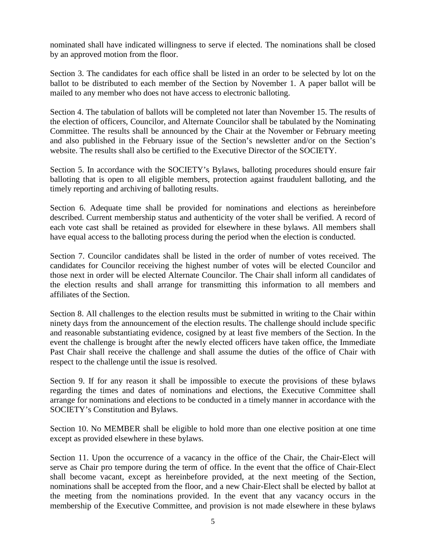nominated shall have indicated willingness to serve if elected. The nominations shall be closed by an approved motion from the floor.

Section 3. The candidates for each office shall be listed in an order to be selected by lot on the ballot to be distributed to each member of the Section by November 1. A paper ballot will be mailed to any member who does not have access to electronic balloting.

Section 4. The tabulation of ballots will be completed not later than November 15. The results of the election of officers, Councilor, and Alternate Councilor shall be tabulated by the Nominating Committee. The results shall be announced by the Chair at the November or February meeting and also published in the February issue of the Section's newsletter and/or on the Section's website. The results shall also be certified to the Executive Director of the SOCIETY.

Section 5. In accordance with the SOCIETY's Bylaws, balloting procedures should ensure fair balloting that is open to all eligible members, protection against fraudulent balloting, and the timely reporting and archiving of balloting results.

Section 6. Adequate time shall be provided for nominations and elections as hereinbefore described. Current membership status and authenticity of the voter shall be verified. A record of each vote cast shall be retained as provided for elsewhere in these bylaws. All members shall have equal access to the balloting process during the period when the election is conducted.

Section 7. Councilor candidates shall be listed in the order of number of votes received. The candidates for Councilor receiving the highest number of votes will be elected Councilor and those next in order will be elected Alternate Councilor. The Chair shall inform all candidates of the election results and shall arrange for transmitting this information to all members and affiliates of the Section.

Section 8. All challenges to the election results must be submitted in writing to the Chair within ninety days from the announcement of the election results. The challenge should include specific and reasonable substantiating evidence, cosigned by at least five members of the Section. In the event the challenge is brought after the newly elected officers have taken office, the Immediate Past Chair shall receive the challenge and shall assume the duties of the office of Chair with respect to the challenge until the issue is resolved.

Section 9. If for any reason it shall be impossible to execute the provisions of these bylaws regarding the times and dates of nominations and elections, the Executive Committee shall arrange for nominations and elections to be conducted in a timely manner in accordance with the SOCIETY's Constitution and Bylaws.

Section 10. No MEMBER shall be eligible to hold more than one elective position at one time except as provided elsewhere in these bylaws.

Section 11. Upon the occurrence of a vacancy in the office of the Chair, the Chair-Elect will serve as Chair pro tempore during the term of office. In the event that the office of Chair-Elect shall become vacant, except as hereinbefore provided, at the next meeting of the Section, nominations shall be accepted from the floor, and a new Chair-Elect shall be elected by ballot at the meeting from the nominations provided. In the event that any vacancy occurs in the membership of the Executive Committee, and provision is not made elsewhere in these bylaws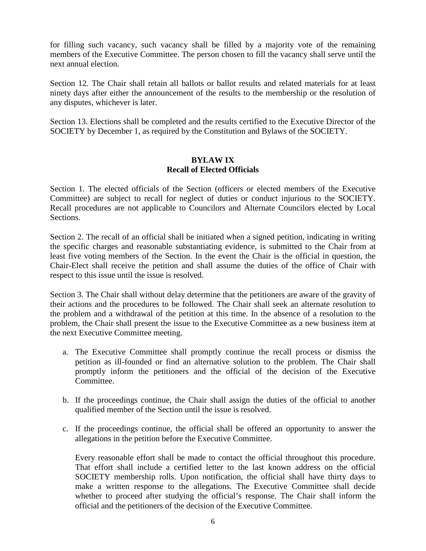for filling such vacancy, such vacancy shall be filled by a majority vote of the remaining members of the Executive Committee. The person chosen to fill the vacancy shall serve until the next annual election.

Section 12. The Chair shall retain all ballots or ballot results and related materials for at least ninety days after either the announcement of the results to the membership or the resolution of any disputes, whichever is later.

Section 13. Elections shall be completed and the results certified to the Executive Director of the SOCIETY by December 1, as required by the Constitution and Bylaws of the SOCIETY.

## **BYLAW IX Recall of Elected Officials**

Section 1. The elected officials of the Section (officers or elected members of the Executive Committee) are subject to recall for neglect of duties or conduct injurious to the SOCIETY. Recall procedures are not applicable to Councilors and Alternate Councilors elected by Local Sections.

Section 2. The recall of an official shall be initiated when a signed petition, indicating in writing the specific charges and reasonable substantiating evidence, is submitted to the Chair from at least five voting members of the Section. In the event the Chair is the official in question, the Chair-Elect shall receive the petition and shall assume the duties of the office of Chair with respect to this issue until the issue is resolved.

Section 3. The Chair shall without delay determine that the petitioners are aware of the gravity of their actions and the procedures to be followed. The Chair shall seek an alternate resolution to the problem and a withdrawal of the petition at this time. In the absence of a resolution to the problem, the Chair shall present the issue to the Executive Committee as a new business item at the next Executive Committee meeting.

- a. The Executive Committee shall promptly continue the recall process or dismiss the petition as ill-founded or find an alternative solution to the problem. The Chair shall promptly inform the petitioners and the official of the decision of the Executive Committee.
- b. If the proceedings continue, the Chair shall assign the duties of the official to another qualified member of the Section until the issue is resolved.
- c. If the proceedings continue, the official shall be offered an opportunity to answer the allegations in the petition before the Executive Committee.

Every reasonable effort shall be made to contact the official throughout this procedure. That effort shall include a certified letter to the last known address on the official SOCIETY membership rolls. Upon notification, the official shall have thirty days to make a written response to the allegations. The Executive Committee shall decide whether to proceed after studying the official's response. The Chair shall inform the official and the petitioners of the decision of the Executive Committee.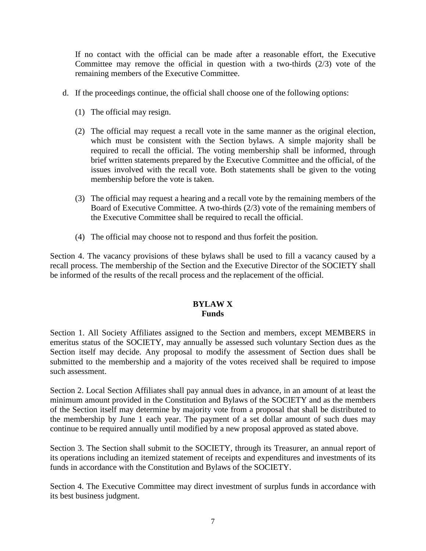If no contact with the official can be made after a reasonable effort, the Executive Committee may remove the official in question with a two-thirds (2/3) vote of the remaining members of the Executive Committee.

- d. If the proceedings continue, the official shall choose one of the following options:
	- (1) The official may resign.
	- (2) The official may request a recall vote in the same manner as the original election, which must be consistent with the Section bylaws. A simple majority shall be required to recall the official. The voting membership shall be informed, through brief written statements prepared by the Executive Committee and the official, of the issues involved with the recall vote. Both statements shall be given to the voting membership before the vote is taken.
	- (3) The official may request a hearing and a recall vote by the remaining members of the Board of Executive Committee. A two-thirds (2/3) vote of the remaining members of the Executive Committee shall be required to recall the official.
	- (4) The official may choose not to respond and thus forfeit the position.

Section 4. The vacancy provisions of these bylaws shall be used to fill a vacancy caused by a recall process. The membership of the Section and the Executive Director of the SOCIETY shall be informed of the results of the recall process and the replacement of the official.

# **BYLAW X Funds**

Section 1. All Society Affiliates assigned to the Section and members, except MEMBERS in emeritus status of the SOCIETY, may annually be assessed such voluntary Section dues as the Section itself may decide. Any proposal to modify the assessment of Section dues shall be submitted to the membership and a majority of the votes received shall be required to impose such assessment.

Section 2. Local Section Affiliates shall pay annual dues in advance, in an amount of at least the minimum amount provided in the Constitution and Bylaws of the SOCIETY and as the members of the Section itself may determine by majority vote from a proposal that shall be distributed to the membership by June 1 each year. The payment of a set dollar amount of such dues may continue to be required annually until modified by a new proposal approved as stated above.

Section 3. The Section shall submit to the SOCIETY, through its Treasurer, an annual report of its operations including an itemized statement of receipts and expenditures and investments of its funds in accordance with the Constitution and Bylaws of the SOCIETY.

Section 4. The Executive Committee may direct investment of surplus funds in accordance with its best business judgment.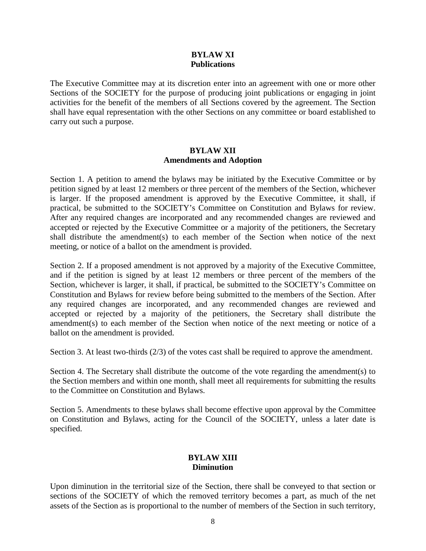## **BYLAW XI Publications**

The Executive Committee may at its discretion enter into an agreement with one or more other Sections of the SOCIETY for the purpose of producing joint publications or engaging in joint activities for the benefit of the members of all Sections covered by the agreement. The Section shall have equal representation with the other Sections on any committee or board established to carry out such a purpose.

## **BYLAW XII Amendments and Adoption**

Section 1. A petition to amend the bylaws may be initiated by the Executive Committee or by petition signed by at least 12 members or three percent of the members of the Section, whichever is larger. If the proposed amendment is approved by the Executive Committee, it shall, if practical, be submitted to the SOCIETY's Committee on Constitution and Bylaws for review. After any required changes are incorporated and any recommended changes are reviewed and accepted or rejected by the Executive Committee or a majority of the petitioners, the Secretary shall distribute the amendment(s) to each member of the Section when notice of the next meeting, or notice of a ballot on the amendment is provided.

Section 2. If a proposed amendment is not approved by a majority of the Executive Committee, and if the petition is signed by at least 12 members or three percent of the members of the Section, whichever is larger, it shall, if practical, be submitted to the SOCIETY's Committee on Constitution and Bylaws for review before being submitted to the members of the Section. After any required changes are incorporated, and any recommended changes are reviewed and accepted or rejected by a majority of the petitioners, the Secretary shall distribute the amendment(s) to each member of the Section when notice of the next meeting or notice of a ballot on the amendment is provided.

Section 3. At least two-thirds (2/3) of the votes cast shall be required to approve the amendment.

Section 4. The Secretary shall distribute the outcome of the vote regarding the amendment(s) to the Section members and within one month, shall meet all requirements for submitting the results to the Committee on Constitution and Bylaws.

Section 5. Amendments to these bylaws shall become effective upon approval by the Committee on Constitution and Bylaws, acting for the Council of the SOCIETY, unless a later date is specified.

## **BYLAW XIII Diminution**

Upon diminution in the territorial size of the Section, there shall be conveyed to that section or sections of the SOCIETY of which the removed territory becomes a part, as much of the net assets of the Section as is proportional to the number of members of the Section in such territory,